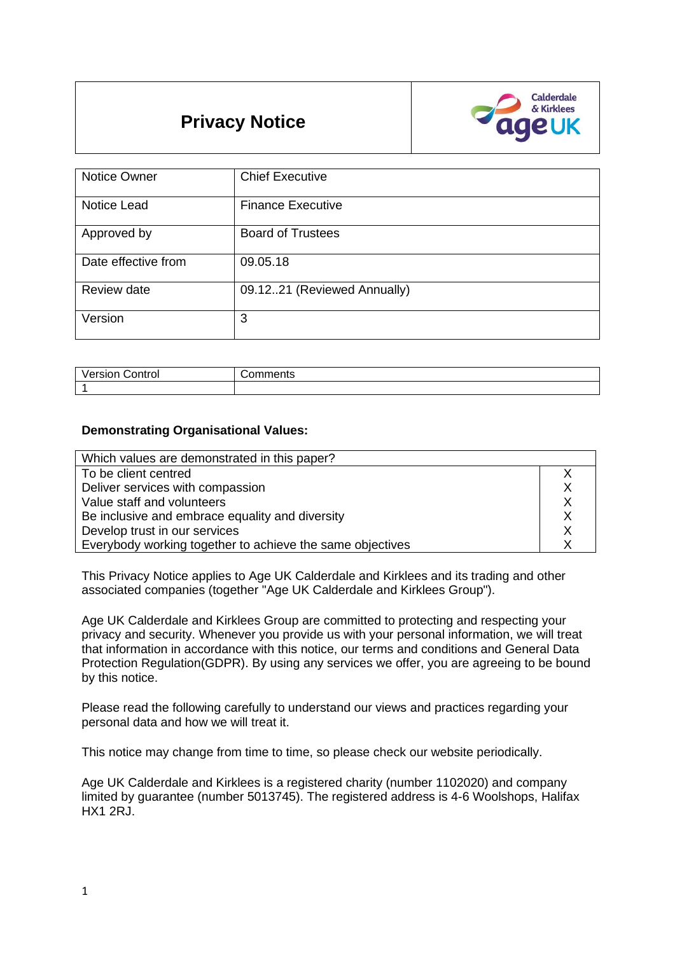# **Privacy Notice**



| <b>Notice Owner</b> | <b>Chief Executive</b>       |
|---------------------|------------------------------|
| Notice Lead         | <b>Finance Executive</b>     |
| Approved by         | <b>Board of Trustees</b>     |
| Date effective from | 09.05.18                     |
| Review date         | 09.12.21 (Reviewed Annually) |
| Version             | 3                            |

| .<br>.<br>ัวntro∟<br>version | טווסו |
|------------------------------|-------|
|                              |       |

#### **Demonstrating Organisational Values:**

| Which values are demonstrated in this paper?              |  |
|-----------------------------------------------------------|--|
| To be client centred                                      |  |
| Deliver services with compassion                          |  |
| Value staff and volunteers                                |  |
| Be inclusive and embrace equality and diversity           |  |
| Develop trust in our services                             |  |
| Everybody working together to achieve the same objectives |  |

This Privacy Notice applies to Age UK Calderdale and Kirklees and its trading and other associated companies (together "Age UK Calderdale and Kirklees Group").

Age UK Calderdale and Kirklees Group are committed to protecting and respecting your privacy and security. Whenever you provide us with your personal information, we will treat that information in accordance with this notice, our terms and conditions and General Data Protection Regulation(GDPR). By using any services we offer, you are agreeing to be bound by this notice.

Please read the following carefully to understand our views and practices regarding your personal data and how we will treat it.

This notice may change from time to time, so please check our website periodically.

Age UK Calderdale and Kirklees is a registered charity (number 1102020) and company limited by guarantee (number 5013745). The registered address is 4-6 Woolshops, Halifax HX1 2RJ.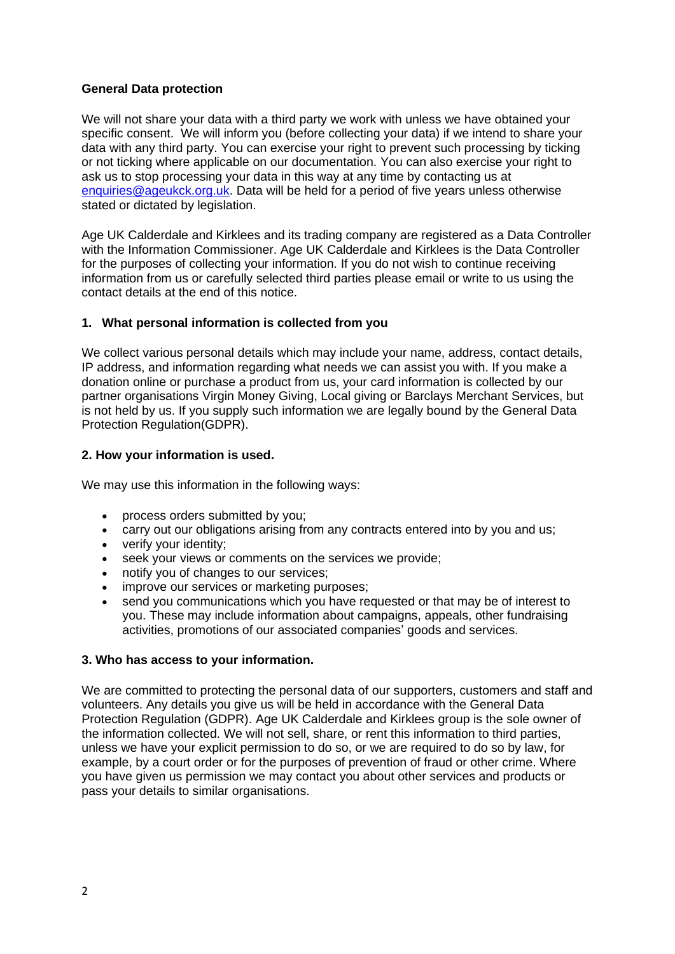### **General Data protection**

We will not share your data with a third party we work with unless we have obtained your specific consent. We will inform you (before collecting your data) if we intend to share your data with any third party. You can exercise your right to prevent such processing by ticking or not ticking where applicable on our documentation. You can also exercise your right to ask us to stop processing your data in this way at any time by contacting us at [enquiries@ageukck.org.uk.](mailto:enquiries@ageukck.org.uk) Data will be held for a period of five years unless otherwise stated or dictated by legislation.

Age UK Calderdale and Kirklees and its trading company are registered as a Data Controller with the Information Commissioner. Age UK Calderdale and Kirklees is the Data Controller for the purposes of collecting your information. If you do not wish to continue receiving information from us or carefully selected third parties please email or write to us using the contact details at the end of this notice.

# **1. What personal information is collected from you**

We collect various personal details which may include your name, address, contact details, IP address, and information regarding what needs we can assist you with. If you make a donation online or purchase a product from us, your card information is collected by our partner organisations Virgin Money Giving, Local giving or Barclays Merchant Services, but is not held by us. If you supply such information we are legally bound by the General Data Protection Regulation(GDPR).

# **2. How your information is used.**

We may use this information in the following ways:

- process orders submitted by you;
- carry out our obligations arising from any contracts entered into by you and us;
- verify your identity;
- seek your views or comments on the services we provide;
- notify you of changes to our services;
- improve our services or marketing purposes;
- send you communications which you have requested or that may be of interest to you. These may include information about campaigns, appeals, other fundraising activities, promotions of our associated companies' goods and services.

# **3. Who has access to your information.**

We are committed to protecting the personal data of our supporters, customers and staff and volunteers. Any details you give us will be held in accordance with the General Data Protection Regulation (GDPR). Age UK Calderdale and Kirklees group is the sole owner of the information collected. We will not sell, share, or rent this information to third parties, unless we have your explicit permission to do so, or we are required to do so by law, for example, by a court order or for the purposes of prevention of fraud or other crime. Where you have given us permission we may contact you about other services and products or pass your details to similar organisations.